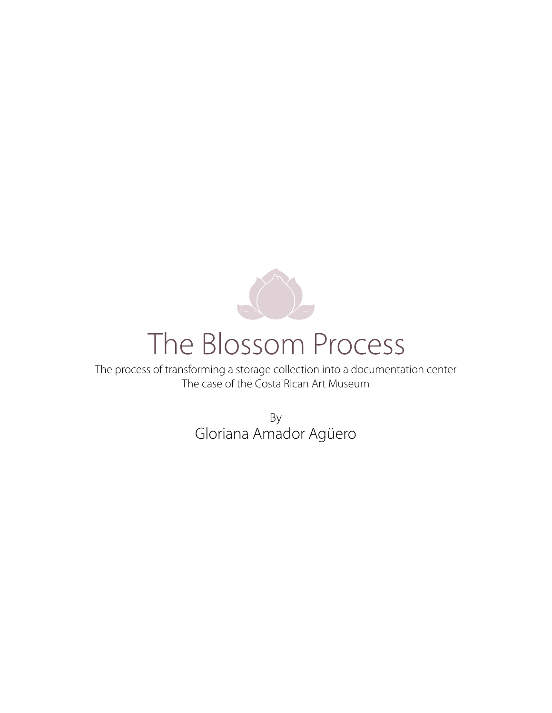

# The Blossom Process

The process of transforming a storage collection into a documentation center The case of the Costa Rican Art Museum

> By Gloriana Amador Agüero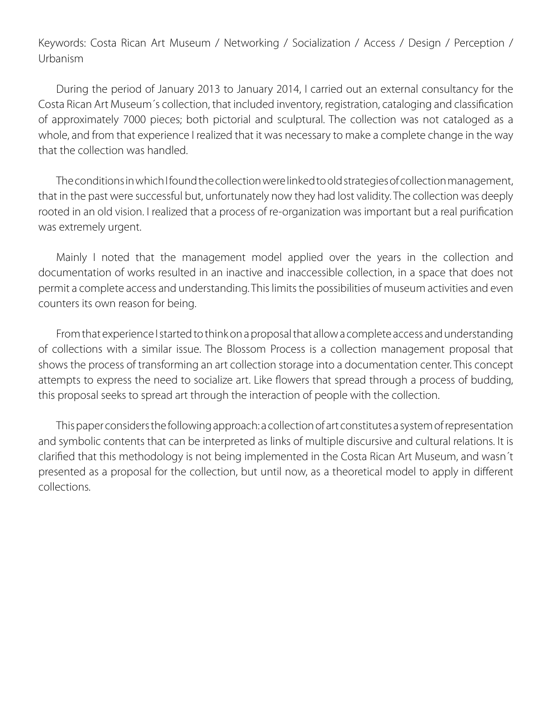Keywords: Costa Rican Art Museum / Networking / Socialization / Access / Design / Perception / Urbanism

During the period of January 2013 to January 2014, I carried out an external consultancy for the Costa Rican Art Museum´s collection, that included inventory, registration, cataloging and classification of approximately 7000 pieces; both pictorial and sculptural. The collection was not cataloged as a whole, and from that experience I realized that it was necessary to make a complete change in the way that the collection was handled.

The conditions in which I found the collection were linked to old strategies of collection management, that in the past were successful but, unfortunately now they had lost validity. The collection was deeply rooted in an old vision. I realized that a process of re-organization was important but a real purification was extremely urgent.

Mainly I noted that the management model applied over the years in the collection and documentation of works resulted in an inactive and inaccessible collection, in a space that does not permit a complete access and understanding. This limits the possibilities of museum activities and even counters its own reason for being.

From that experience I started to think on a proposal that allow a complete access and understanding of collections with a similar issue. The Blossom Process is a collection management proposal that shows the process of transforming an art collection storage into a documentation center. This concept attempts to express the need to socialize art. Like flowers that spread through a process of budding, this proposal seeks to spread art through the interaction of people with the collection.

This paper considers the following approach: a collection of art constitutes a system of representation and symbolic contents that can be interpreted as links of multiple discursive and cultural relations. It is clarified that this methodology is not being implemented in the Costa Rican Art Museum, and wasn´t presented as a proposal for the collection, but until now, as a theoretical model to apply in different collections.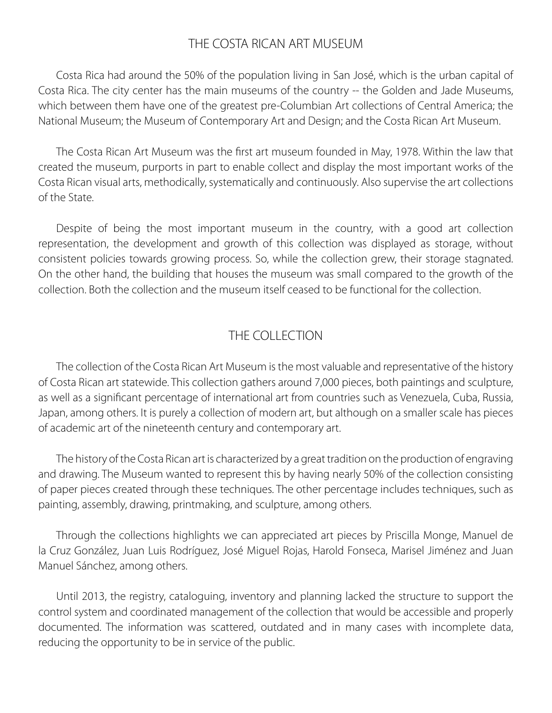## THE COSTA RICAN ART MUSEUM

Costa Rica had around the 50% of the population living in San José, which is the urban capital of Costa Rica. The city center has the main museums of the country -- the Golden and Jade Museums, which between them have one of the greatest pre-Columbian Art collections of Central America; the National Museum; the Museum of Contemporary Art and Design; and the Costa Rican Art Museum.

The Costa Rican Art Museum was the first art museum founded in May, 1978. Within the law that created the museum, purports in part to enable collect and display the most important works of the Costa Rican visual arts, methodically, systematically and continuously. Also supervise the art collections of the State.

Despite of being the most important museum in the country, with a good art collection representation, the development and growth of this collection was displayed as storage, without consistent policies towards growing process. So, while the collection grew, their storage stagnated. On the other hand, the building that houses the museum was small compared to the growth of the collection. Both the collection and the museum itself ceased to be functional for the collection.

## THE COLLECTION

The collection of the Costa Rican Art Museum is the most valuable and representative of the history of Costa Rican art statewide. This collection gathers around 7,000 pieces, both paintings and sculpture, as well as a significant percentage of international art from countries such as Venezuela, Cuba, Russia, Japan, among others. It is purely a collection of modern art, but although on a smaller scale has pieces of academic art of the nineteenth century and contemporary art.

The history of the Costa Rican art is characterized by a great tradition on the production of engraving and drawing. The Museum wanted to represent this by having nearly 50% of the collection consisting of paper pieces created through these techniques. The other percentage includes techniques, such as painting, assembly, drawing, printmaking, and sculpture, among others.

Through the collections highlights we can appreciated art pieces by Priscilla Monge, Manuel de la Cruz González, Juan Luis Rodríguez, José Miguel Rojas, Harold Fonseca, Marisel Jiménez and Juan Manuel Sánchez, among others.

Until 2013, the registry, cataloguing, inventory and planning lacked the structure to support the control system and coordinated management of the collection that would be accessible and properly documented. The information was scattered, outdated and in many cases with incomplete data, reducing the opportunity to be in service of the public.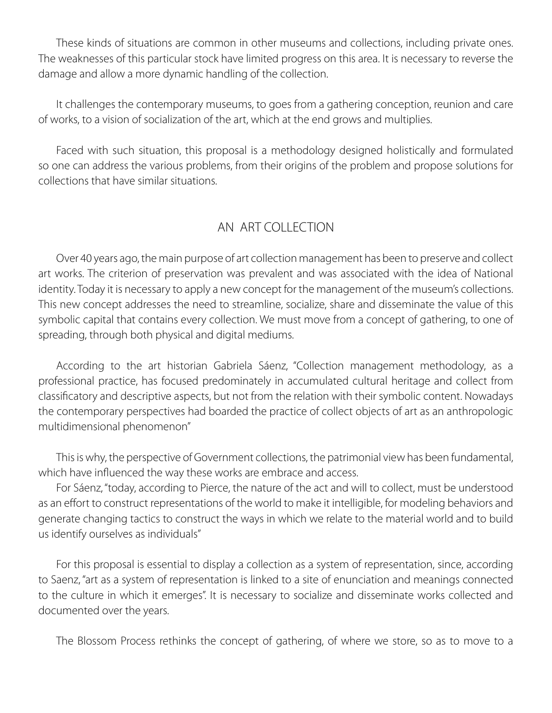These kinds of situations are common in other museums and collections, including private ones. The weaknesses of this particular stock have limited progress on this area. It is necessary to reverse the damage and allow a more dynamic handling of the collection.

It challenges the contemporary museums, to goes from a gathering conception, reunion and care of works, to a vision of socialization of the art, which at the end grows and multiplies.

Faced with such situation, this proposal is a methodology designed holistically and formulated so one can address the various problems, from their origins of the problem and propose solutions for collections that have similar situations.

## AN ART COLLECTION

Over 40 years ago, the main purpose of art collection management has been to preserve and collect art works. The criterion of preservation was prevalent and was associated with the idea of National identity. Today it is necessary to apply a new concept for the management of the museum's collections. This new concept addresses the need to streamline, socialize, share and disseminate the value of this symbolic capital that contains every collection. We must move from a concept of gathering, to one of spreading, through both physical and digital mediums.

According to the art historian Gabriela Sáenz, "Collection management methodology, as a professional practice, has focused predominately in accumulated cultural heritage and collect from classificatory and descriptive aspects, but not from the relation with their symbolic content. Nowadays the contemporary perspectives had boarded the practice of collect objects of art as an anthropologic multidimensional phenomenon"

This is why, the perspective of Government collections, the patrimonial view has been fundamental, which have influenced the way these works are embrace and access.

For Sáenz, "today, according to Pierce, the nature of the act and will to collect, must be understood as an effort to construct representations of the world to make it intelligible, for modeling behaviors and generate changing tactics to construct the ways in which we relate to the material world and to build us identify ourselves as individuals"

For this proposal is essential to display a collection as a system of representation, since, according to Saenz, "art as a system of representation is linked to a site of enunciation and meanings connected to the culture in which it emerges". It is necessary to socialize and disseminate works collected and documented over the years.

The Blossom Process rethinks the concept of gathering, of where we store, so as to move to a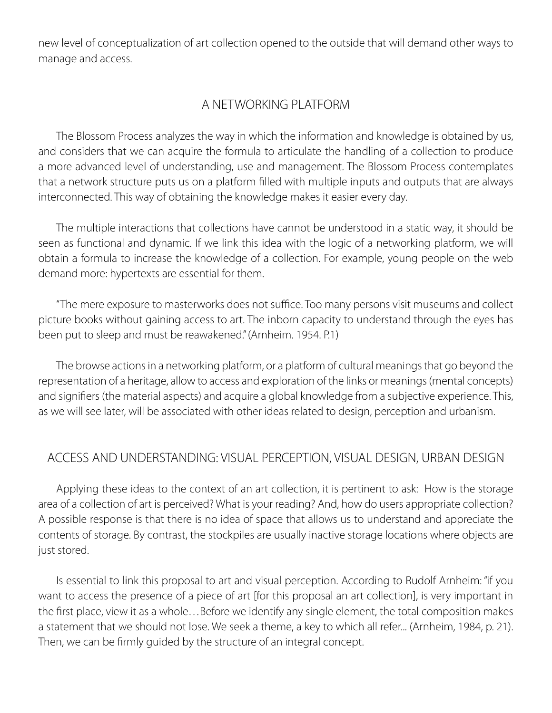new level of conceptualization of art collection opened to the outside that will demand other ways to manage and access.

## A NETWORKING PLATFORM

The Blossom Process analyzes the way in which the information and knowledge is obtained by us, and considers that we can acquire the formula to articulate the handling of a collection to produce a more advanced level of understanding, use and management. The Blossom Process contemplates that a network structure puts us on a platform filled with multiple inputs and outputs that are always interconnected. This way of obtaining the knowledge makes it easier every day.

The multiple interactions that collections have cannot be understood in a static way, it should be seen as functional and dynamic. If we link this idea with the logic of a networking platform, we will obtain a formula to increase the knowledge of a collection. For example, young people on the web demand more: hypertexts are essential for them.

"The mere exposure to masterworks does not suffice. Too many persons visit museums and collect picture books without gaining access to art. The inborn capacity to understand through the eyes has been put to sleep and must be reawakened." (Arnheim. 1954. P.1)

The browse actions in a networking platform, or a platform of cultural meanings that go beyond the representation of a heritage, allow to access and exploration of the links or meanings (mental concepts) and signifiers (the material aspects) and acquire a global knowledge from a subjective experience. This, as we will see later, will be associated with other ideas related to design, perception and urbanism.

## ACCESS AND UNDERSTANDING: VISUAL PERCEPTION, VISUAL DESIGN, URBAN DESIGN

Applying these ideas to the context of an art collection, it is pertinent to ask: How is the storage area of a collection of art is perceived? What is your reading? And, how do users appropriate collection? A possible response is that there is no idea of space that allows us to understand and appreciate the contents of storage. By contrast, the stockpiles are usually inactive storage locations where objects are just stored.

Is essential to link this proposal to art and visual perception. According to Rudolf Arnheim: "if you want to access the presence of a piece of art [for this proposal an art collection], is very important in the first place, view it as a whole…Before we identify any single element, the total composition makes a statement that we should not lose. We seek a theme, a key to which all refer... (Arnheim, 1984, p. 21). Then, we can be firmly guided by the structure of an integral concept.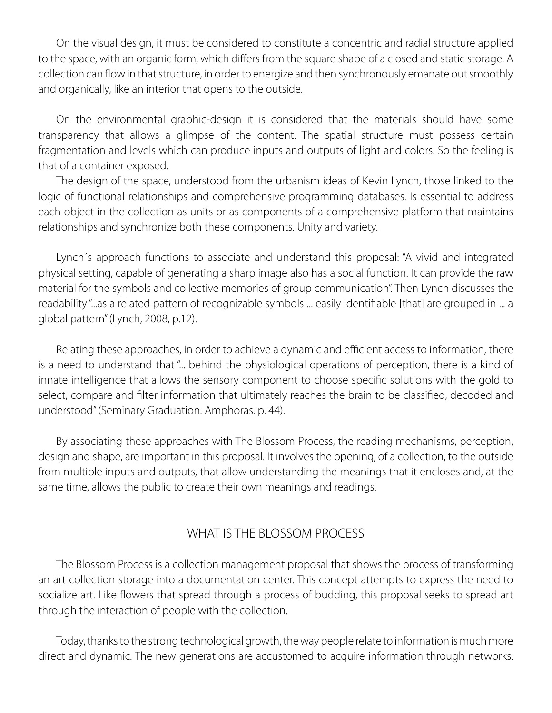On the visual design, it must be considered to constitute a concentric and radial structure applied to the space, with an organic form, which differs from the square shape of a closed and static storage. A collection can flow in that structure, in order to energize and then synchronously emanate out smoothly and organically, like an interior that opens to the outside.

On the environmental graphic-design it is considered that the materials should have some transparency that allows a glimpse of the content. The spatial structure must possess certain fragmentation and levels which can produce inputs and outputs of light and colors. So the feeling is that of a container exposed.

The design of the space, understood from the urbanism ideas of Kevin Lynch, those linked to the logic of functional relationships and comprehensive programming databases. Is essential to address each object in the collection as units or as components of a comprehensive platform that maintains relationships and synchronize both these components. Unity and variety.

Lynch´s approach functions to associate and understand this proposal: "A vivid and integrated physical setting, capable of generating a sharp image also has a social function. It can provide the raw material for the symbols and collective memories of group communication". Then Lynch discusses the readability "...as a related pattern of recognizable symbols ... easily identifiable [that] are grouped in ... a global pattern" (Lynch, 2008, p.12).

Relating these approaches, in order to achieve a dynamic and efficient access to information, there is a need to understand that "... behind the physiological operations of perception, there is a kind of innate intelligence that allows the sensory component to choose specific solutions with the gold to select, compare and filter information that ultimately reaches the brain to be classified, decoded and understood" (Seminary Graduation. Amphoras. p. 44).

By associating these approaches with The Blossom Process, the reading mechanisms, perception, design and shape, are important in this proposal. It involves the opening, of a collection, to the outside from multiple inputs and outputs, that allow understanding the meanings that it encloses and, at the same time, allows the public to create their own meanings and readings.

## WHAT IS THE BLOSSOM PROCESS

The Blossom Process is a collection management proposal that shows the process of transforming an art collection storage into a documentation center. This concept attempts to express the need to socialize art. Like flowers that spread through a process of budding, this proposal seeks to spread art through the interaction of people with the collection.

Today, thanks to the strong technological growth, the way people relate to information is much more direct and dynamic. The new generations are accustomed to acquire information through networks.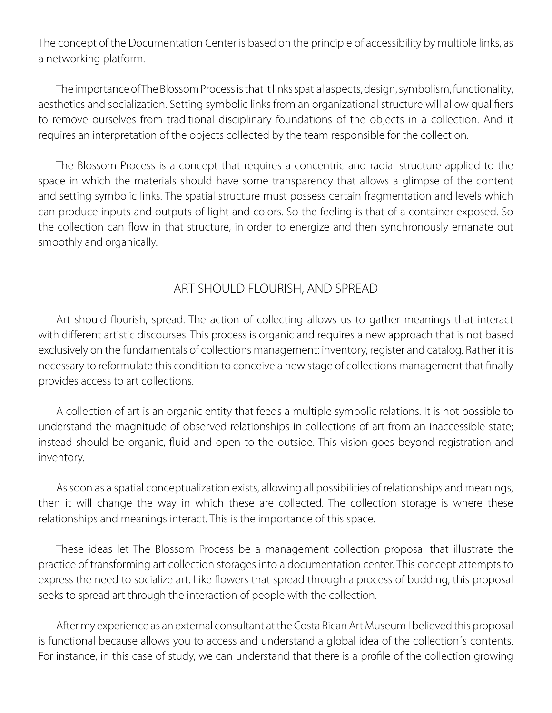The concept of the Documentation Center is based on the principle of accessibility by multiple links, as a networking platform.

The importance of The Blossom Process is that it links spatial aspects, design, symbolism, functionality, aesthetics and socialization. Setting symbolic links from an organizational structure will allow qualifiers to remove ourselves from traditional disciplinary foundations of the objects in a collection. And it requires an interpretation of the objects collected by the team responsible for the collection.

The Blossom Process is a concept that requires a concentric and radial structure applied to the space in which the materials should have some transparency that allows a glimpse of the content and setting symbolic links. The spatial structure must possess certain fragmentation and levels which can produce inputs and outputs of light and colors. So the feeling is that of a container exposed. So the collection can flow in that structure, in order to energize and then synchronously emanate out smoothly and organically.

### ART SHOULD FLOURISH, AND SPREAD

Art should flourish, spread. The action of collecting allows us to gather meanings that interact with different artistic discourses. This process is organic and requires a new approach that is not based exclusively on the fundamentals of collections management: inventory, register and catalog. Rather it is necessary to reformulate this condition to conceive a new stage of collections management that finally provides access to art collections.

A collection of art is an organic entity that feeds a multiple symbolic relations. It is not possible to understand the magnitude of observed relationships in collections of art from an inaccessible state; instead should be organic, fluid and open to the outside. This vision goes beyond registration and inventory.

As soon as a spatial conceptualization exists, allowing all possibilities of relationships and meanings, then it will change the way in which these are collected. The collection storage is where these relationships and meanings interact. This is the importance of this space.

These ideas let The Blossom Process be a management collection proposal that illustrate the practice of transforming art collection storages into a documentation center. This concept attempts to express the need to socialize art. Like flowers that spread through a process of budding, this proposal seeks to spread art through the interaction of people with the collection.

After my experience as an external consultant at the Costa Rican Art Museum I believed this proposal is functional because allows you to access and understand a global idea of the collection´s contents. For instance, in this case of study, we can understand that there is a profile of the collection growing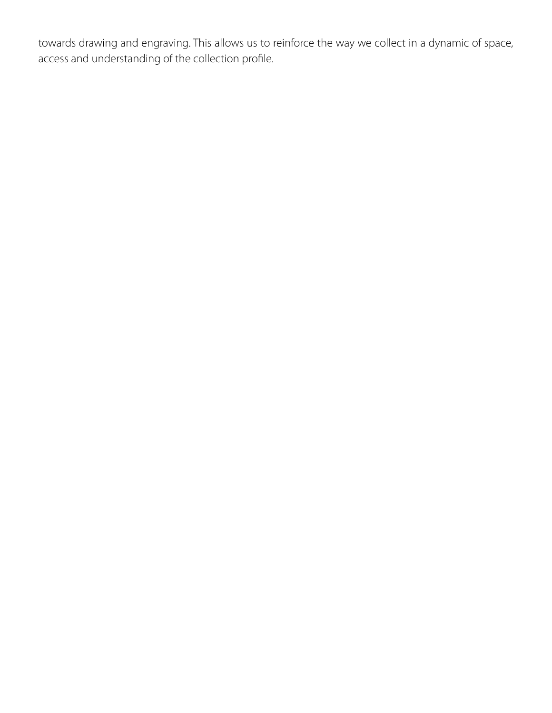towards drawing and engraving. This allows us to reinforce the way we collect in a dynamic of space, access and understanding of the collection profile.